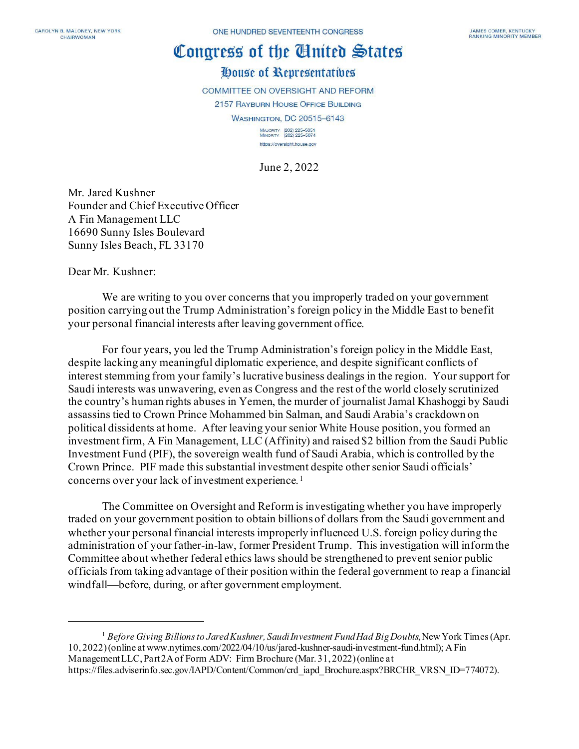# Congress of the Cinited States

## House of Representatives

COMMITTEE ON OVERSIGHT AND REFORM 2157 RAYBURN HOUSE OFFICE BUILDING **WASHINGTON, DC 20515-6143** MAJORITY (202) 225-5051<br>MINORITY (202) 225-5074

June 2, 2022

https://oversight.house.gov

Mr. Jared Kushner Founder and Chief Executive Officer A Fin Management LLC 16690 Sunny Isles Boulevard Sunny Isles Beach, FL 33170

Dear Mr. Kushner:

We are writing to you over concerns that you improperly traded on your government position carrying out the Trump Administration's foreign policy in the Middle East to benefit your personal financial interests after leaving government office.

For four years, you led the Trump Administration's foreign policy in the Middle East, despite lacking any meaningful diplomatic experience, and despite significant conflicts of interest stemming from your family's lucrative business dealings in the region. Your support for Saudi interests was unwavering, even as Congress and the rest of the world closely scrutinized the country's human rights abuses in Yemen, the murder of journalist Jamal Khashoggi by Saudi assassins tied to Crown Prince Mohammed bin Salman, and Saudi Arabia's crackdown on political dissidents at home. After leaving your senior White House position, you formed an investment firm, A Fin Management, LLC (Affinity) and raised \$2 billion from the Saudi Public Investment Fund (PIF), the sovereign wealth fund of Saudi Arabia, which is controlled by the Crown Prince. PIF made this substantial investment despite other senior Saudi officials' concerns over your lack of investment experience.[1](#page-0-0)

The Committee on Oversight and Reform is investigating whether you have improperly traded on your government position to obtain billions of dollars from the Saudi government and whether your personal financial interests improperly influenced U.S. foreign policy during the administration of your father-in-law, former President Trump. This investigation will inform the Committee about whether federal ethics laws should be strengthened to prevent senior public officials from taking advantage of their position within the federal government to reap a financial windfall—before, during, or after government employment.

<span id="page-0-0"></span><sup>1</sup> *Before Giving Billions to Jared Kushner, Saudi Investment Fund Had Big Doubts*, New York Times (Apr. 10, 2022) (online at www.nytimes.com/2022/04/10/us/jared-kushner-saudi-investment-fund.html); A Fin Management LLC, Part 2A of Form ADV: Firm Brochure (Mar. 31, 2022) (online at https://files.adviserinfo.sec.gov/IAPD/Content/Common/crd\_iapd\_Brochure.aspx?BRCHR\_VRSN\_ID=774072).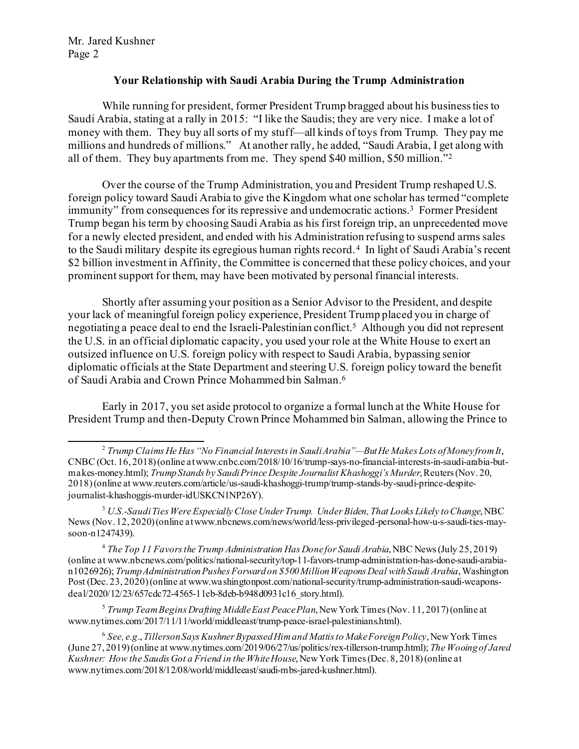#### **Your Relationship with Saudi Arabia During the Trump Administration**

While running for president, former President Trump bragged about his business ties to Saudi Arabia, stating at a rally in 2015: "I like the Saudis; they are very nice. I make a lot of money with them. They buy all sorts of my stuff—all kinds of toys from Trump. They pay me millions and hundreds of millions." At another rally, he added, "Saudi Arabia, I get along with all of them. They buy apartments from me. They spend \$40 million, \$50 million.["2](#page-1-0)

Over the course of the Trump Administration, you and President Trump reshaped U.S. foreign policy toward Saudi Arabia to give the Kingdom what one scholar has termed "complete immunity" from consequences for its repressive and undemocratic actions.[3](#page-1-1) Former President Trump began his term by choosing Saudi Arabia as his first foreign trip, an unprecedented move for a newly elected president, and ended with his Administration refusing to suspend arms sales to the Saudi military despite its egregious human rights record. [4](#page-1-2) In light of Saudi Arabia's recent \$2 billion investment in Affinity, the Committee is concerned that these policy choices, and your prominent support for them, may have been motivated by personal financial interests.

Shortly after assuming your position as a Senior Advisor to the President, and despite your lack of meaningful foreign policy experience, President Trump placed you in charge of negotiating a peace deal to end the Israeli-Palestinian conflict.[5](#page-1-3) Although you did not represent the U.S. in an official diplomatic capacity, you used your role at the White House to exert an outsized influence on U.S. foreign policy with respect to Saudi Arabia, bypassing senior diplomatic officials at the State Department and steering U.S. foreign policy toward the benefit of Saudi Arabia and Crown Prince Mohammed bin Salman. [6](#page-1-4)

Early in 2017, you set aside protocol to organize a formal lunch at the White House for President Trump and then-Deputy Crown Prince Mohammed bin Salman, allowing the Prince to

<span id="page-1-2"></span><sup>4</sup> The Top 11 Favors the Trump Administration Has Done for Saudi Arabia, NBC News (July 25, 2019) (online at www.nbcnews.com/politics/national-security/top-11-favors-trump-administration-has-done-saudi-arabian1026926); *Trump Administration Pushes Forward on \$500 Million Weapons Deal with Saudi Arabia*, Washington Post (Dec. 23, 2020) (online at www.washingtonpost.com/national-security/trump-administration-saudi-weaponsdeal/2020/12/23/657cdc72-4565-11eb-8deb-b948d0931c16\_story.html).

<span id="page-1-3"></span><sup>5</sup> *Trump Team Begins Drafting Middle East Peace Plan*, New York Times (Nov. 11, 2017) (online at www.nytimes.com/2017/11/11/world/middleeast/trump-peace-israel-palestinians.html).

<span id="page-1-4"></span><sup>6</sup> *See, e.g*.,*Tillerson Says Kushner Bypassed Him and Mattis to Make Foreign Policy*, New York Times (June 27, 2019) (online at www.nytimes.com/2019/06/27/us/politics/rex-tillerson-trump.html); *The Wooing of Jared Kushner: How the Saudis Got a Friend in the White House*, New York Times(Dec. 8, 2018) (online at www.nytimes.com/2018/12/08/world/middleeast/saudi-mbs-jared-kushner.html).

<span id="page-1-0"></span><sup>2</sup> *Trump Claims He Has "No Financial Interests in Saudi Arabia"—But He Makes Lots of Money fromIt*, CNBC (Oct. 16, 2018) (online at www.cnbc.com/2018/10/16/trump-says-no-financial-interests-in-saudi-arabia-butmakes-money.html); *Trump Stands by Saudi Prince Despite Journalist Khashoggi's Murder*, Reuters (Nov. 20, 2018) (online at www.reuters.com/article/us-saudi-khashoggi-trump/trump-stands-by-saudi-prince-despitejournalist-khashoggis-murder-idUSKCN1NP26Y).

<span id="page-1-1"></span><sup>3</sup> *U.S.-Saudi Ties Were Especially Close Under Trump. Under Biden, That Looks Likely to Change*, NBC News (Nov. 12, 2020) (online at www.nbcnews.com/news/world/less-privileged-personal-how-u-s-saudi-ties-maysoon-n1247439).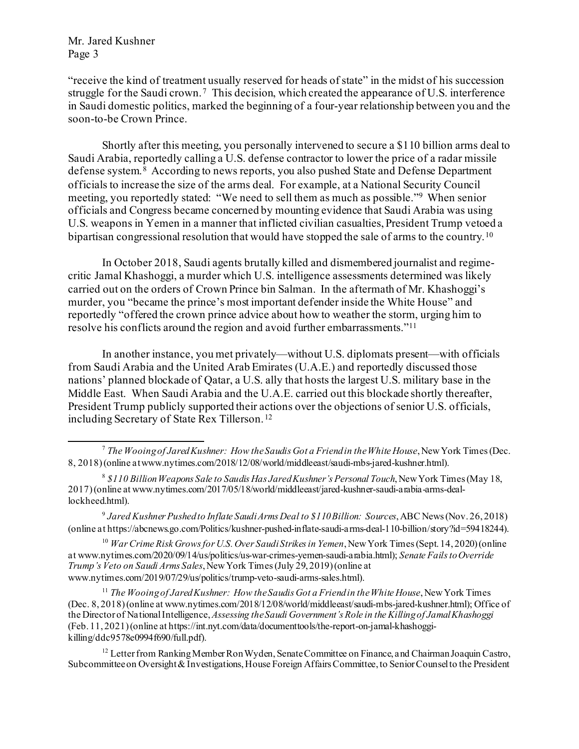"receive the kind of treatment usually reserved for heads of state" in the midst of his succession struggle for the Saudi crown.<sup>[7](#page-2-0)</sup> This decision, which created the appearance of U.S. interference in Saudi domestic politics, marked the beginning of a four-year relationship between you and the soon-to-be Crown Prince.

Shortly after this meeting, you personally intervened to secure a \$110 billion arms deal to Saudi Arabia, reportedly calling a U.S. defense contractor to lower the price of a radar missile defense system.[8](#page-2-1) According to news reports, you also pushed State and Defense Department officials to increase the size of the arms deal. For example, at a National Security Council meeting, you reportedly stated: "We need to sell them as much as possible."[9](#page-2-2) When senior officials and Congress became concerned by mounting evidence that Saudi Arabia was using U.S. weapons in Yemen in a manner that inflicted civilian casualties, President Trump vetoed a bipartisan congressional resolution that would have stopped the sale of arms to the country.<sup>[10](#page-2-3)</sup>

In October 2018, Saudi agents brutally killed and dismembered journalist and regimecritic Jamal Khashoggi, a murder which U.S. intelligence assessments determined was likely carried out on the orders of Crown Prince bin Salman. In the aftermath of Mr. Khashoggi's murder, you "became the prince's most important defender inside the White House" and reportedly "offered the crown prince advice about how to weather the storm, urging him to resolve his conflicts around the region and avoid further embarrassments."[11](#page-2-4)

In another instance, you met privately—without U.S. diplomats present—with officials from Saudi Arabia and the United Arab Emirates (U.A.E.) and reportedly discussed those nations' planned blockade of Qatar, a U.S. ally that hosts the largest U.S. military base in the Middle East. When Saudi Arabia and the U.A.E. carried out this blockade shortly thereafter, President Trump publicly supported their actions over the objections of senior U.S. officials, including Secretary of State Rex Tillerson.[12](#page-2-5)

<span id="page-2-0"></span><sup>7</sup> *The Wooing of Jared Kushner: How the Saudis Got a Friend in the White House*, New York Times(Dec. 8, 2018) (online at www.nytimes.com/2018/12/08/world/middleeast/saudi-mbs-jared-kushner.html).

<span id="page-2-1"></span><sup>8</sup> *\$110 Billion Weapons Sale to Saudis Has Jared Kushner's Personal Touch*, New York Times (May 18, 2017) (online at www.nytimes.com/2017/05/18/world/middleeast/jared-kushner-saudi-arabia-arms-deallockheed.html).

<span id="page-2-2"></span><sup>9</sup> *Jared Kushner Pushed to Inflate Saudi Arms Deal to \$110 Billion: Sources*, ABC News (Nov. 26, 2018) (online at https://abcnews.go.com/Politics/kushner-pushed-inflate-saudi-arms-deal-110-billion/story?id=59418244).

<span id="page-2-3"></span><sup>10</sup> *War Crime Risk Grows for U.S. Over Saudi Strikes in Yemen*, New York Times (Sept. 14, 2020) (online at www.nytimes.com/2020/09/14/us/politics/us-war-crimes-yemen-saudi-arabia.html); *Senate Fails to Override Trump's Veto on Saudi Arms Sales*, New York Times (July 29, 2019) (online at www.nytimes.com/2019/07/29/us/politics/trump-veto-saudi-arms-sales.html).

<span id="page-2-4"></span><sup>11</sup> *The Wooing of Jared Kushner: How the Saudis Got a Friend in the White House*, New York Times (Dec. 8, 2018) (online at www.nytimes.com/2018/12/08/world/middleeast/saudi-mbs-jared-kushner.html); Office of the Director of National Intelligence, *Assessing the Saudi Government's Role in the Killing of Jamal Khashoggi* (Feb. 11, 2021) (online at https://int.nyt.com/data/documenttools/the-report-on-jamal-khashoggikilling/ddc9578e0994f690/full.pdf).

<span id="page-2-5"></span><sup>&</sup>lt;sup>12</sup> Letter from Ranking Member Ron Wyden, Senate Committee on Finance, and Chairman Joaquin Castro, Subcommitteeon Oversight & Investigations, House Foreign Affairs Committee, to Senior Counsel to the President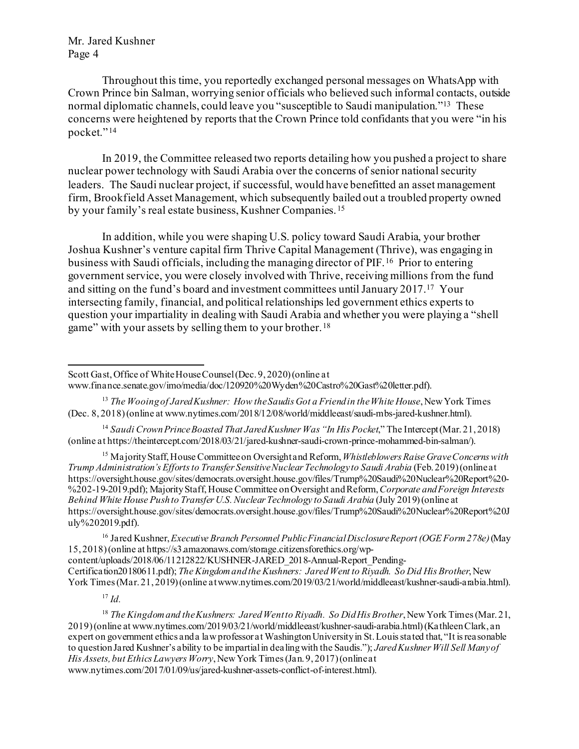Throughout this time, you reportedly exchanged personal messages on WhatsApp with Crown Prince bin Salman, worrying senior officials who believed such informal contacts, outside normal diplomatic channels, could leave you "susceptible to Saudi manipulation."[13](#page-3-0) These concerns were heightened by reports that the Crown Prince told confidants that you were "in his pocket." [14](#page-3-1)

In 2019, the Committee released two reports detailing how you pushed a project to share nuclear power technology with Saudi Arabia over the concerns of senior national security leaders. The Saudi nuclear project, if successful, would have benefitted an asset management firm, Brookfield Asset Management, which subsequently bailed out a troubled property owned by your family's real estate business, Kushner Companies. [15](#page-3-2)

In addition, while you were shaping U.S. policy toward Saudi Arabia, your brother Joshua Kushner's venture capital firm Thrive Capital Management (Thrive), was engaging in business with Saudi officials, including the managing director of PIF. [16](#page-3-3) Prior to entering government service, you were closely involved with Thrive, receiving millions from the fund and sitting on the fund's board and investment committees until January 2017.[17](#page-3-4) Your intersecting family, financial, and political relationships led government ethics experts to question your impartiality in dealing with Saudi Arabia and whether you were playing a "shell game" with your assets by selling them to your brother. [18](#page-3-5)

<span id="page-3-1"></span><sup>14</sup> Saudi Crown Prince Boasted That Jared Kushner Was "In His Pocket," The Intercept (Mar. 21, 2018) (online at https://theintercept.com/2018/03/21/jared-kushner-saudi-crown-prince-mohammed-bin-salman/).

<span id="page-3-2"></span><sup>15</sup> Majority Staff, House Committee on Oversight and Reform, *Whistleblowers Raise Grave Concerns with Trump Administration's Efforts to Transfer Sensitive Nuclear Technology to Saudi Arabia* (Feb. 2019) (online at https://oversight.house.gov/sites/democrats.oversight.house.gov/files/Trump%20Saudi%20Nuclear%20Report%20- %202-19-2019.pdf); Majority Staff, House Committee on Oversight and Reform, *Corporate and Foreign Interests Behind White House Push to Transfer U.S. Nuclear Technology to Saudi Arabia* (July 2019) (online at https://oversight.house.gov/sites/democrats.oversight.house.gov/files/Trump%20Saudi%20Nuclear%20Report%20J uly%202019.pdf).

<span id="page-3-3"></span><sup>16</sup> Jared Kushner, *Executive Branch Personnel Public Financial Disclosure Report (OGE Form 278e)*(May 15, 2018) (online at https://s3.amazonaws.com/storage.citizensforethics.org/wpcontent/uploads/2018/06/11212822/KUSHNER-JARED\_2018-Annual-Report\_Pending-Certification20180611.pdf); *The Kingdom and the Kushners: Jared Went to Riyadh. So Did His Brother*, New York Times (Mar. 21, 2019) (online at www.nytimes.com/2019/03/21/world/middleeast/kushner-saudi-arabia.html).

<sup>17</sup> *Id.*

<span id="page-3-5"></span><span id="page-3-4"></span><sup>18</sup> *The Kingdom and the Kushners: Jared Went to Riyadh. So Did His Brother*, New York Times (Mar. 21, 2019) (online at www.nytimes.com/2019/03/21/world/middleeast/kushner-saudi-arabia.html) (Kathleen Clark, an expert on government ethics and a law professor at Washington University in St. Louis stated that, "It is reasonable to question Jared Kushner's ability to be impartial in dealing with the Saudis."); *Jared Kushner Will Sell Many of His Assets, but Ethics Lawyers Worry*, New York Times (Jan. 9, 2017) (online at www.nytimes.com/2017/01/09/us/jared-kushner-assets-conflict-of-interest.html).

Scott Gast, Office of White House Counsel(Dec. 9, 2020) (online at www.finance.senate.gov/imo/media/doc/120920%20Wyden%20Castro%20Gast%20letter.pdf).

<span id="page-3-0"></span><sup>&</sup>lt;sup>13</sup> The Wooing of Jared Kushner: How the Saudis Got a Friend in the White House, New York Times (Dec. 8, 2018) (online at www.nytimes.com/2018/12/08/world/middleeast/saudi-mbs-jared-kushner.html).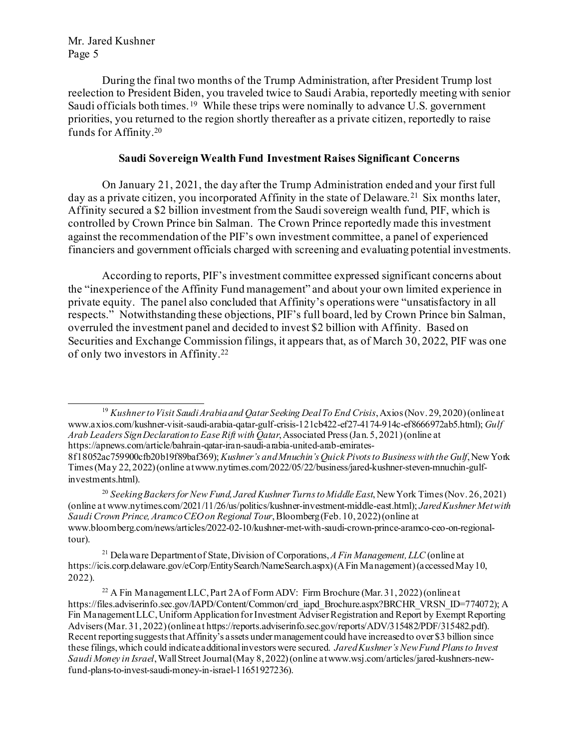During the final two months of the Trump Administration, after President Trump lost reelection to President Biden, you traveled twice to Saudi Arabia, reportedly meeting with senior Saudi officials both times.<sup>19</sup> While these trips were nominally to advance U.S. government priorities, you returned to the region shortly thereafter as a private citizen, reportedly to raise funds for Affinity. [20](#page-4-1)

#### **Saudi Sovereign Wealth Fund Investment Raises Significant Concerns**

On January 21, 2021, the day after the Trump Administration ended and your first full day as a private citizen, you incorporated Affinity in the state of Delaware. [21](#page-4-2) Six months later, Affinity secured a \$2 billion investment fromthe Saudisovereign wealth fund, PIF, which is controlled by Crown Prince bin Salman. The Crown Prince reportedly made this investment against the recommendation of the PIF's own investment committee, a panel of experienced financiers and government officials charged with screening and evaluating potential investments.

According to reports, PIF's investment committee expressed significant concerns about the "inexperience of the Affinity Fund management" and about your own limited experience in private equity. The panel also concluded that Affinity's operations were "unsatisfactory in all respects." Notwithstanding these objections, PIF's full board, led by Crown Prince bin Salman, overruled the investment panel and decided to invest \$2 billion with Affinity. Based on Securities and Exchange Commission filings, it appears that, as of March 30, 2022, PIF was one of only two investors in Affinity.[22](#page-4-3)

<span id="page-4-0"></span><sup>19</sup> *Kushner to Visit Saudi Arabia and Qatar Seeking Deal To End Crisis*, Axios (Nov. 29, 2020) (online at www.axios.com/kushner-visit-saudi-arabia-qatar-gulf-crisis-121cb422-ef27-4174-914c-ef8666972ab5.html); *Gulf Arab Leaders Sign Declaration to Ease Rift with Qatar*, Associated Press (Jan. 5, 2021) (online at https://apnews.com/article/bahrain-qatar-iran-saudi-arabia-united-arab-emirates-

8f18052ac759900cfb20b19f89baf369); *Kushner's and Mnuchin's Quick Pivots to Business with the Gulf*, New York Times (May 22, 2022) (online at www.nytimes.com/2022/05/22/business/jared-kushner-steven-mnuchin-gulfinvestments.html).

<span id="page-4-1"></span><sup>20</sup> Seeking Backers for New Fund, Jared Kushner Turns to Middle East, New York Times (Nov. 26, 2021) (online at www.nytimes.com/2021/11/26/us/politics/kushner-investment-middle-east.html); *Jared Kushner Met with Saudi Crown Prince, Aramco CEO on Regional Tour*, Bloomberg (Feb. 10, 2022) (online at www.bloomberg.com/news/articles/2022-02-10/kushner-met-with-saudi-crown-prince-aramco-ceo-on-regionaltour).

<span id="page-4-2"></span><sup>21</sup> Delaware Department of State, Division of Corporations,*A Fin Management, LLC* (online at https://icis.corp.delaware.gov/eCorp/EntitySearch/NameSearch.aspx)(A Fin Management)(accessed May 10, 2022).

<span id="page-4-3"></span><sup>&</sup>lt;sup>22</sup> A Fin Management LLC, Part 2A of Form ADV: Firm Brochure (Mar. 31, 2022) (online at https://files.adviserinfo.sec.gov/IAPD/Content/Common/crd\_iapd\_Brochure.aspx?BRCHR\_VRSN\_ID=774072); A Fin Management LLC, Uniform Application for Investment Adviser Registration and Report by Exempt Reporting Advisers (Mar. 31, 2022) (online at https://reports.adviserinfo.sec.gov/reports/ADV/315482/PDF/315482.pdf). Recent reporting suggests that Affinity's assets under management could have increased to over \$3 billion since these filings, which could indicate additional investors were secured. *Jared Kushner's New Fund Plans to Invest Saudi Money in Israel*, Wall Street Journal (May 8, 2022) (online at www.wsj.com/articles/jared-kushners-newfund-plans-to-invest-saudi-money-in-israel-11651927236).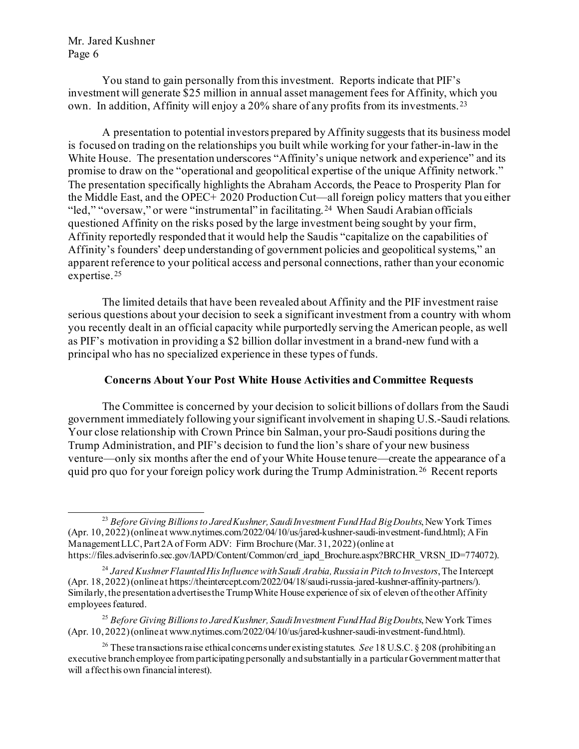You stand to gain personally from this investment. Reports indicate that PIF's investment will generate \$25 million in annual asset management fees for Affinity, which you own. In addition, Affinity will enjoy a 20% share of any profits from its investments. [23](#page-5-0)

A presentation to potential investors prepared by Affinity suggests that its business model is focused on trading on the relationships you built while working for your father-in-law in the White House. The presentation underscores "Affinity's unique network and experience" and its promise to draw on the "operational and geopolitical expertise of the unique Affinity network." The presentation specifically highlights the Abraham Accords, the Peace to Prosperity Plan for the Middle East, and the OPEC+ 2020 Production Cut—all foreign policy matters that you either "led," "oversaw," or were "instrumental" in facilitating.<sup>[24](#page-5-1)</sup> When Saudi Arabian officials questioned Affinity on the risks posed by the large investment being sought by your firm, Affinity reportedly responded that it would help the Saudis "capitalize on the capabilities of Affinity's founders' deep understanding of government policies and geopolitical systems," an apparent reference to your political access and personal connections, rather than your economic expertise.[25](#page-5-2)

The limited details that have been revealed about Affinity and the PIF investment raise serious questions about your decision to seek a significant investment from a country with whom you recently dealt in an official capacity while purportedly serving the American people, as well as PIF's motivation in providing a \$2 billion dollar investment in a brand-new fund with a principal who has no specialized experience in these types of funds.

#### **Concerns About Your Post White House Activities and Committee Requests**

The Committee is concerned by your decision to solicit billions of dollars from the Saudi government immediately following your significant involvement in shaping U.S.-Saudi relations. Your close relationship with Crown Prince bin Salman, your pro-Saudi positions during the Trump Administration, and PIF's decision to fund the lion's share of your new business venture—only six months after the end of your White House tenure—create the appearance of a quid pro quo for your foreign policy work during the Trump Administration.[26](#page-5-3) Recent reports

<span id="page-5-0"></span><sup>23</sup> *Before Giving Billions to Jared Kushner, Saudi Investment Fund Had Big Doubts*, New York Times (Apr. 10, 2022) (online at www.nytimes.com/2022/04/10/us/jared-kushner-saudi-investment-fund.html); A Fin Management LLC, Part 2A of Form ADV: Firm Brochure (Mar. 31, 2022) (online at https://files.adviserinfo.sec.gov/IAPD/Content/Common/crd\_iapd\_Brochure.aspx?BRCHR\_VRSN\_ID=774072).

<span id="page-5-1"></span><sup>24</sup> *Jared Kushner Flaunted His Influence withSaudi Arabia, Russia in Pitch to Investors*, The Intercept (Apr. 18, 2022) (online at https://theintercept.com/2022/04/18/saudi-russia-jared-kushner-affinity-partners/). Similarly, the presentation advertises the Trump White House experience of six of eleven of the other Affinity employees featured.

<span id="page-5-2"></span><sup>25</sup> *Before Giving Billions to Jared Kushner, Saudi Investment Fund Had Big Doubts*, New York Times (Apr. 10, 2022) (online at www.nytimes.com/2022/04/10/us/jared-kushner-saudi-investment-fund.html).

<span id="page-5-3"></span><sup>&</sup>lt;sup>26</sup> These transactions raise ethical concerns under existing statutes. *See* 18 U.S.C. § 208 (prohibiting an executive branch employee from participating personally and substantially in a particular Government matter that will affect his own financial interest).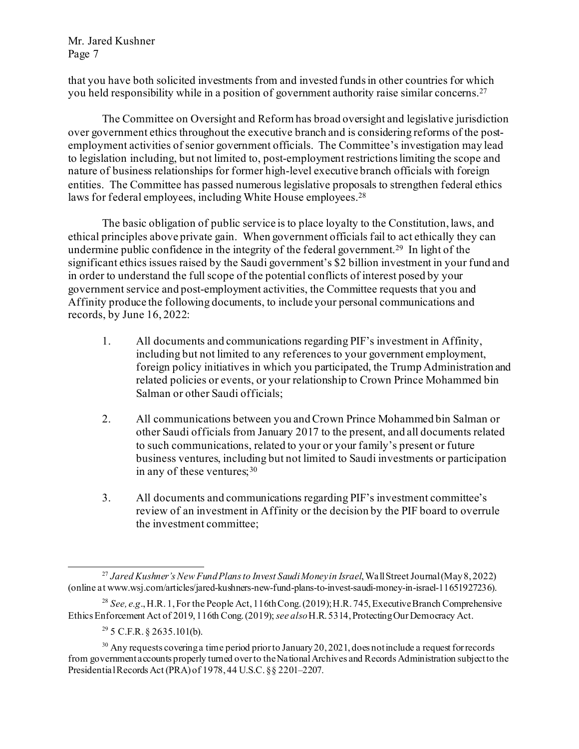that you have both solicited investments from and invested fundsin other countries for which you held responsibility while in a position of government authority raise similar concerns.[27](#page-6-0)

The Committee on Oversight and Reform has broad oversight and legislative jurisdiction over government ethics throughout the executive branch and is considering reforms of the postemployment activities of senior government officials. The Committee's investigation may lead to legislation including, but not limited to, post-employment restrictions limiting the scope and nature of business relationships for former high-level executive branch officials with foreign entities. The Committee has passed numerous legislative proposals to strengthen federal ethics laws for federal employees, including White House employees.<sup>[28](#page-6-1)</sup>

The basic obligation of public service is to place loyalty to the Constitution, laws, and ethical principles above private gain. When government officials fail to act ethically they can undermine public confidence in the integrity of the federal government.<sup>29</sup> In light of the significant ethics issues raised by the Saudi government's \$2 billion investment in your fund and in order to understand the full scope of the potential conflicts of interest posed by your government service and post-employment activities, the Committee requests that you and Affinity produce the following documents, to include your personal communications and records, by June 16, 2022:

- 1. All documents and communications regarding PIF's investment in Affinity, including but not limited to any references to your government employment, foreign policy initiatives in which you participated, the Trump Administration and related policies or events, or your relationship to Crown Prince Mohammed bin Salman or other Saudi officials;
- 2. All communications between you and Crown Prince Mohammed bin Salman or other Saudi officials from January 2017 to the present, and all documents related to such communications, related to your or your family's present or future business ventures, including but not limited to Saudi investments or participation in any of these ventures;  $30<sup>30</sup>$  $30<sup>30</sup>$
- 3. All documents and communications regarding PIF's investment committee's review of an investment in Affinity or the decision by the PIF board to overrule the investment committee;

<span id="page-6-0"></span><sup>27</sup> *Jared Kushner's New Fund Plans to Invest Saudi Money in Israel*, Wall Street Journal (May 8, 2022) (online at www.wsj.com/articles/jared-kushners-new-fund-plans-to-invest-saudi-money-in-israel-11651927236).

<span id="page-6-1"></span><sup>28</sup> *See, e.g*., H.R. 1,For the People Act, 116th Cong.(2019);H.R. 745, Executive Branch Comprehensive Ethics Enforcement Act of 2019, 116th Cong. (2019); *see also*H.R. 5314, Protecting Our Democracy Act.

 $29\,$  5 C.F.R. § 2635.101(b).

<span id="page-6-3"></span><span id="page-6-2"></span> $30$  Any requests covering a time period prior to January 20, 2021, does not include a request for records from government accounts properly turned over to the National Archives and Records Administration subject to the Presidential Records Act (PRA) of 1978, 44 U.S.C. §§ 2201–2207.